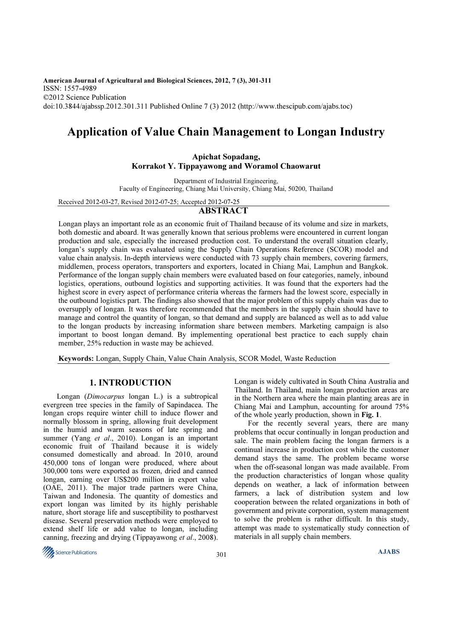American Journal of Agricultural and Biological Sciences, 2012, 7 (3), 301-311 ISSN: 1557-4989 ©2012 Science Publication doi:10.3844/ajabssp.2012.301.311 Published Online 7 (3) 2012 (http://www.thescipub.com/ajabs.toc)

# Application of Value Chain Management to Longan Industry

# Apichat Sopadang, Korrakot Y. Tippayawong and Woramol Chaowarut

Department of Industrial Engineering,

Faculty of Engineering, Chiang Mai University, Chiang Mai, 50200, Thailand

Received 2012-03-27, Revised 2012-07-25; Accepted 2012-07-25

## ABSTRACT

Longan plays an important role as an economic fruit of Thailand because of its volume and size in markets, both domestic and aboard. It was generally known that serious problems were encountered in current longan production and sale, especially the increased production cost. To understand the overall situation clearly, longan's supply chain was evaluated using the Supply Chain Operations Reference (SCOR) model and value chain analysis. In-depth interviews were conducted with 73 supply chain members, covering farmers, middlemen, process operators, transporters and exporters, located in Chiang Mai, Lamphun and Bangkok. Performance of the longan supply chain members were evaluated based on four categories, namely, inbound logistics, operations, outbound logistics and supporting activities. It was found that the exporters had the highest score in every aspect of performance criteria whereas the farmers had the lowest score, especially in the outbound logistics part. The findings also showed that the major problem of this supply chain was due to oversupply of longan. It was therefore recommended that the members in the supply chain should have to manage and control the quantity of longan, so that demand and supply are balanced as well as to add value to the longan products by increasing information share between members. Marketing campaign is also important to boost longan demand. By implementing operational best practice to each supply chain member, 25% reduction in waste may be achieved.

Keywords: Longan, Supply Chain, Value Chain Analysis, SCOR Model, Waste Reduction

## 1. INTRODUCTION

 Longan (Dimocarpus longan L.) is a subtropical evergreen tree species in the family of Sapindacea. The longan crops require winter chill to induce flower and normally blossom in spring, allowing fruit development in the humid and warm seasons of late spring and summer (Yang et al., 2010). Longan is an important economic fruit of Thailand because it is widely consumed domestically and abroad. In 2010, around 450,000 tons of longan were produced, where about 300,000 tons were exported as frozen, dried and canned longan, earning over US\$200 million in export value (OAE, 2011). The major trade partners were China, Taiwan and Indonesia. The quantity of domestics and export longan was limited by its highly perishable nature, short storage life and susceptibility to postharvest disease. Several preservation methods were employed to extend shelf life or add value to longan, including canning, freezing and drying (Tippayawong et al., 2008).



Longan is widely cultivated in South China Australia and Thailand. In Thailand, main longan production areas are in the Northern area where the main planting areas are in Chiang Mai and Lamphun, accounting for around 75% of the whole yearly production, shown in Fig. 1.

 For the recently several years, there are many problems that occur continually in longan production and sale. The main problem facing the longan farmers is a continual increase in production cost while the customer demand stays the same. The problem became worse when the off-seasonal longan was made available. From the production characteristics of longan whose quality depends on weather, a lack of information between farmers, a lack of distribution system and low cooperation between the related organizations in both of government and private corporation, system management to solve the problem is rather difficult. In this study, attempt was made to systematically study connection of materials in all supply chain members.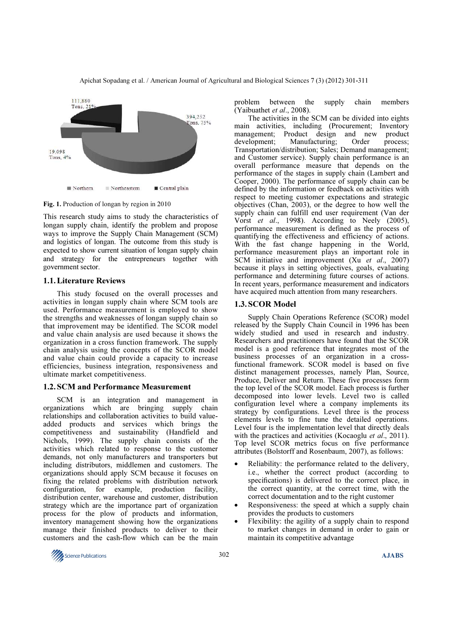

Fig. 1. Production of longan by region in 2010

This research study aims to study the characteristics of longan supply chain, identify the problem and propose ways to improve the Supply Chain Management (SCM) and logistics of longan. The outcome from this study is expected to show current situation of longan supply chain and strategy for the entrepreneurs together with government sector.

## 1.1.Literature Reviews

This study focused on the overall processes and activities in longan supply chain where SCM tools are used. Performance measurement is employed to show the strengths and weaknesses of longan supply chain so that improvement may be identified. The SCOR model and value chain analysis are used because it shows the organization in a cross function framework. The supply chain analysis using the concepts of the SCOR model and value chain could provide a capacity to increase efficiencies, business integration, responsiveness and ultimate market competitiveness.

#### 1.2.SCM and Performance Measurement

SCM is an integration and management in organizations which are bringing supply chain relationships and collaboration activities to build valueadded products and services which brings the competitiveness and sustainability (Handfield and Nichols, 1999). The supply chain consists of the activities which related to response to the customer demands, not only manufacturers and transporters but including distributors, middlemen and customers. The organizations should apply SCM because it focuses on fixing the related problems with distribution network configuration, for example, production facility, distribution center, warehouse and customer, distribution strategy which are the importance part of organization process for the plow of products and information, inventory management showing how the organizations manage their finished products to deliver to their customers and the cash-flow which can be the main problem between the supply chain members (Yaibuathet et al., 2008).

 The activities in the SCM can be divided into eights main activities, including (Procurement; Inventory management; Product design and new product development; Manufacturing; Order process; Transportation/distribution; Sales; Demand management; and Customer service). Supply chain performance is an overall performance measure that depends on the performance of the stages in supply chain (Lambert and Cooper, 2000). The performance of supply chain can be defined by the information or feedback on activities with respect to meeting customer expectations and strategic objectives (Chan, 2003), or the degree to how well the supply chain can fulfill end user requirement (Van der Vorst et al., 1998). According to Neely (2005), performance measurement is defined as the process of quantifying the effectiveness and efficiency of actions. With the fast change happening in the World, performance measurement plays an important role in SCM initiative and improvement (Xu et al., 2007) because it plays in setting objectives, goals, evaluating performance and determining future courses of actions. In recent years, performance measurement and indicators have acquired much attention from many researchers.

#### 1.3.SCOR Model

Supply Chain Operations Reference (SCOR) model released by the Supply Chain Council in 1996 has been widely studied and used in research and industry. Researchers and practitioners have found that the SCOR model is a good reference that integrates most of the business processes of an organization in a crossfunctional framework. SCOR model is based on five distinct management processes, namely Plan, Source, Produce, Deliver and Return. These five processes form the top level of the SCOR model. Each process is further decomposed into lower levels. Level two is called configuration level where a company implements its strategy by configurations. Level three is the process elements levels to fine tune the detailed operations. Level four is the implementation level that directly deals with the practices and activities (Kocaoglu et al., 2011). Top level SCOR metrics focus on five performance attributes (Bolstorff and Rosenbaum, 2007), as follows:

- Reliability: the performance related to the delivery, i.e., whether the correct product (according to specifications) is delivered to the correct place, in the correct quantity, at the correct time, with the correct documentation and to the right customer
- Responsiveness: the speed at which a supply chain provides the products to customers
- Flexibility: the agility of a supply chain to respond to market changes in demand in order to gain or maintain its competitive advantage

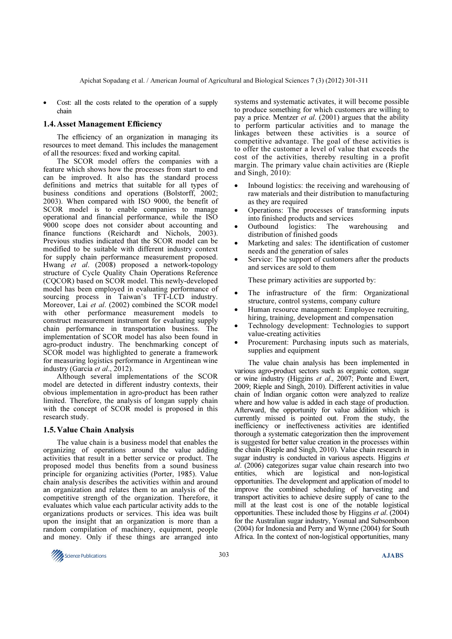• Cost: all the costs related to the operation of a supply chain

#### 1.4.Asset Management Efficiency

 The efficiency of an organization in managing its resources to meet demand. This includes the management of all the resources: fixed and working capital.

 The SCOR model offers the companies with a feature which shows how the processes from start to end can be improved. It also has the standard process definitions and metrics that suitable for all types of business conditions and operations (Bolstorff, 2002; 2003). When compared with ISO 9000, the benefit of SCOR model is to enable companies to manage operational and financial performance, while the ISO 9000 scope does not consider about accounting and finance functions (Reichardt and Nichols, 2003). Previous studies indicated that the SCOR model can be modified to be suitable with different industry context for supply chain performance measurement proposed. Hwang et al. (2008) proposed a network-topology structure of Cycle Quality Chain Operations Reference (CQCOR) based on SCOR model. This newly-developed model has been employed in evaluating performance of sourcing process in Taiwan's TFT-LCD industry. Moreover, Lai et al. (2002) combined the SCOR model with other performance measurement models to construct measurement instrument for evaluating supply chain performance in transportation business. The implementation of SCOR model has also been found in agro-product industry. The benchmarking concept of SCOR model was highlighted to generate a framework for measuring logistics performance in Argentinean wine industry (Garcia et al., 2012).

 Although several implementations of the SCOR model are detected in different industry contexts, their obvious implementation in agro-product has been rather limited. Therefore, the analysis of longan supply chain with the concept of SCOR model is proposed in this research study.

#### 1.5.Value Chain Analysis

The value chain is a business model that enables the organizing of operations around the value adding activities that result in a better service or product. The proposed model thus benefits from a sound business principle for organizing activities (Porter, 1985). Value chain analysis describes the activities within and around an organization and relates them to an analysis of the competitive strength of the organization. Therefore, it evaluates which value each particular activity adds to the organizations products or services. This idea was built upon the insight that an organization is more than a random compilation of machinery, equipment, people and money. Only if these things are arranged into

systems and systematic activates, it will become possible to produce something for which customers are willing to pay a price. Mentzer *et al.* (2001) argues that the ability to perform particular activities and to manage the linkages between these activities is a source of competitive advantage. The goal of these activities is to offer the customer a level of value that exceeds the cost of the activities, thereby resulting in a profit margin. The primary value chain activities are (Rieple and Singh,  $2010$ :

- Inbound logistics: the receiving and warehousing of raw materials and their distribution to manufacturing as they are required
- Operations: The processes of transforming inputs into finished products and services
- Outbound logistics: The warehousing and distribution of finished goods
- Marketing and sales: The identification of customer needs and the generation of sales
- Service: The support of customers after the products and services are sold to them

These primary activities are supported by:

- The infrastructure of the firm: Organizational structure, control systems, company culture
- Human resource management: Employee recruiting, hiring, training, development and compensation
- Technology development: Technologies to support value-creating activities
- Procurement: Purchasing inputs such as materials, supplies and equipment

 The value chain analysis has been implemented in various agro-product sectors such as organic cotton, sugar or wine industry (Higgins et al., 2007; Ponte and Ewert, 2009; Rieple and Singh, 2010). Different activities in value chain of Indian organic cotton were analyzed to realize where and how value is added in each stage of production. Afterward, the opportunity for value addition which is currently missed is pointed out. From the study, the inefficiency or ineffectiveness activities are identified thorough a systematic categorization then the improvement is suggested for better value creation in the processes within the chain (Rieple and Singh, 2010). Value chain research in sugar industry is conducted in various aspects. Higgins et al. (2006) categorizes sugar value chain research into two entities, which are logistical and non-logistical which are logistical and non-logistical opportunities. The development and application of model to improve the combined scheduling of harvesting and transport activities to achieve desire supply of cane to the mill at the least cost is one of the notable logistical opportunities. These included those by Higgins et al. (2004) for the Australian sugar industry, Yosnual and Subsomboon (2004) for Indonesia and Perry and Wynne (2004) for South Africa. In the context of non-logistical opportunities, many

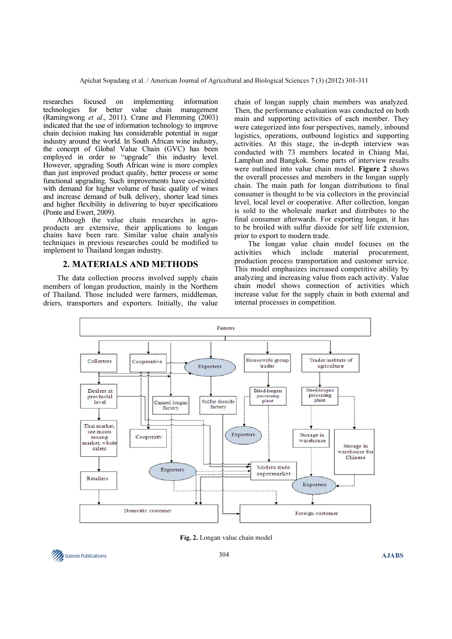researches focused on implementing information technologies for better value chain management technologies for better value chain management (Ramingwong et al., 2011). Crane and Flemming (2003) indicated that the use of information technology to improve chain decision making has considerable potential in sugar industry around the world. In South African wine industry, the concept of Global Value Chain (GVC) has been employed in order to "upgrade" this industry level. However, upgrading South African wine is more complex than just improved product quality, better process or some functional upgrading. Such improvements have co-existed with demand for higher volume of basic quality of wines and increase demand of bulk delivery, shorter lead times and higher flexibility in delivering to buyer specifications (Ponte and Ewert, 2009).

 Although the value chain researches in agroproducts are extensive, their applications to longan chains have been rare. Similar value chain analysis techniques in previous researches could be modified to implement to Thailand longan industry.

## 2. MATERIALS AND METHODS

 The data collection process involved supply chain members of longan production, mainly in the Northern of Thailand. Those included were farmers, middleman, driers, transporters and exporters. Initially, the value

chain of longan supply chain members was analyzed. Then, the performance evaluation was conducted on both main and supporting activities of each member. They were categorized into four perspectives, namely, inbound logistics, operations, outbound logistics and supporting activities. At this stage, the in-depth interview was conducted with 73 members located in Chiang Mai, Lamphun and Bangkok. Some parts of interview results were outlined into value chain model. Figure 2 shows the overall processes and members in the longan supply chain. The main path for longan distributions to final consumer is thought to be via collectors in the provincial level, local level or cooperative. After collection, longan is sold to the wholesale market and distributes to the final consumer afterwards. For exporting longan, it has to be broiled with sulfur dioxide for self life extension, prior to export to modern trade.

The longan value chain model focuses on the vities which include material procurement, activities which include material procurement, production process transportation and customer service. This model emphasizes increased competitive ability by analyzing and increasing value from each activity. Value chain model shows connection of activities which increase value for the supply chain in both external and internal processes in competition.



Fig. 2. Longan value chain model

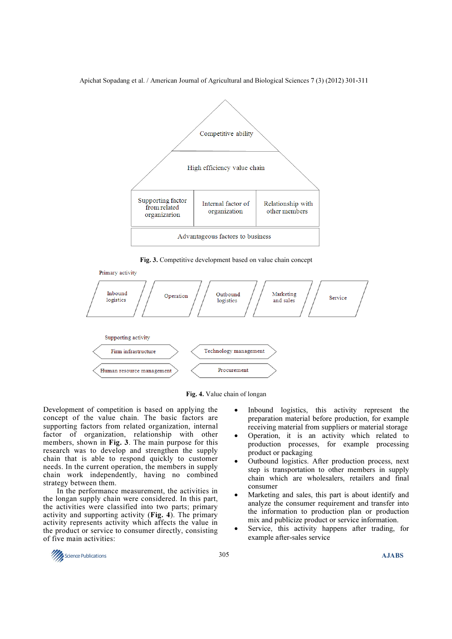

Fig. 3. Competitive development based on value chain concept



Fig. 4. Value chain of longan

Development of competition is based on applying the concept of the value chain. The basic factors are supporting factors from related organization, internal factor of organization, relationship with other members, shown in Fig. 3. The main purpose for this research was to develop and strengthen the supply chain that is able to respond quickly to customer needs. In the current operation, the members in supply chain work independently, having no combined strategy between them.

 In the performance measurement, the activities in the longan supply chain were considered. In this part, the activities were classified into two parts; primary activity and supporting activity (Fig. 4). The primary activity represents activity which affects the value in the product or service to consumer directly, consisting of five main activities:

- Inbound logistics, this activity represent the preparation material before production, for example receiving material from suppliers or material storage
- Operation, it is an activity which related to production processes, for example processing product or packaging
- Outbound logistics. After production process, next step is transportation to other members in supply chain which are wholesalers, retailers and final consumer
- Marketing and sales, this part is about identify and analyze the consumer requirement and transfer into the information to production plan or production mix and publicize product or service information.
- Service, this activity happens after trading, for example after-sales service

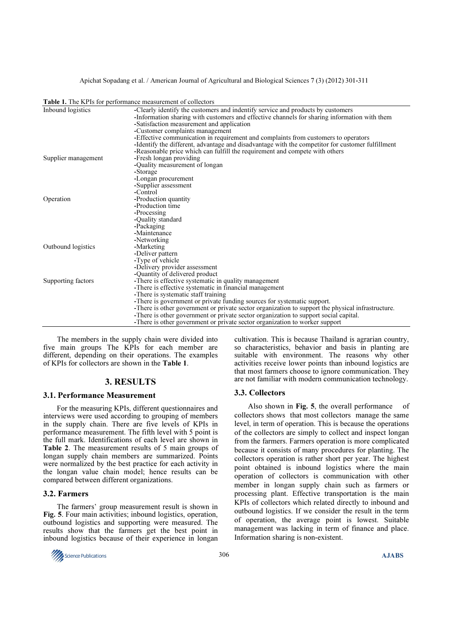|                     | <b>Table 1.</b> The KPIs for performance measurement of collectors                                |
|---------------------|---------------------------------------------------------------------------------------------------|
| Inbound logistics   | -Clearly identify the customers and indentify service and products by customers                   |
|                     | -Information sharing with customers and effective channels for sharing information with them      |
|                     | -Satisfaction measurement and application                                                         |
|                     | -Customer complaints management                                                                   |
|                     | -Effective communication in requirement and complaints from customers to operators                |
|                     | -Identify the different, advantage and disadvantage with the competitor for customer fulfillment  |
|                     | -Reasonable price which can fulfill the requirement and compete with others                       |
| Supplier management | -Fresh longan providing                                                                           |
|                     | -Quality measurement of longan                                                                    |
|                     | -Storage                                                                                          |
|                     | -Longan procurement                                                                               |
|                     | -Supplier assessment                                                                              |
|                     | -Control                                                                                          |
| Operation           | -Production quantity                                                                              |
|                     | -Production time                                                                                  |
|                     | -Processing                                                                                       |
|                     | -Quality standard                                                                                 |
|                     | -Packaging                                                                                        |
|                     | -Maintenance                                                                                      |
|                     | -Networking                                                                                       |
| Outbound logistics  | -Marketing                                                                                        |
|                     | -Deliver pattern                                                                                  |
|                     | -Type of vehicle                                                                                  |
|                     | -Delivery provider assessment                                                                     |
|                     | -Quantity of delivered product                                                                    |
| Supporting factors  | -There is effective systematic in quality management                                              |
|                     | -There is effective systematic in financial management                                            |
|                     | -There is systematic staff training                                                               |
|                     | -There is government or private funding sources for systematic support.                           |
|                     | -There is other government or private sector organization to support the physical infrastructure. |
|                     | -There is other government or private sector organization to support social capital.              |
|                     | -There is other government or private sector organization to worker support                       |

Table 1. The KPIs for performance measurement of collectors

 The members in the supply chain were divided into five main groups The KPIs for each member are different, depending on their operations. The examples of KPIs for collectors are shown in the Table 1.

## 3. RESULTS

#### 3.1. Performance Measurement

For the measuring KPIs, different questionnaires and interviews were used according to grouping of members in the supply chain. There are five levels of KPIs in performance measurement. The fifth level with 5 point is the full mark. Identifications of each level are shown in Table 2. The measurement results of 5 main groups of longan supply chain members are summarized. Points were normalized by the best practice for each activity in the longan value chain model; hence results can be compared between different organizations.

## 3.2. Farmers

The farmers' group measurement result is shown in Fig. 5. Four main activities; inbound logistics, operation, outbound logistics and supporting were measured. The results show that the farmers get the best point in inbound logistics because of their experience in longan



cultivation. This is because Thailand is agrarian country, so characteristics, behavior and basis in planting are suitable with environment. The reasons why other activities receive lower points than inbound logistics are that most farmers choose to ignore communication. They are not familiar with modern communication technology.

## 3.3. Collectors

Also shown in Fig. 5, the overall performance of collectors shows that most collectors manage the same level, in term of operation. This is because the operations of the collectors are simply to collect and inspect longan from the farmers. Farmers operation is more complicated because it consists of many procedures for planting. The collectors operation is rather short per year. The highest point obtained is inbound logistics where the main operation of collectors is communication with other member in longan supply chain such as farmers or processing plant. Effective transportation is the main KPIs of collectors which related directly to inbound and outbound logistics. If we consider the result in the term of operation, the average point is lowest. Suitable management was lacking in term of finance and place. Information sharing is non-existent.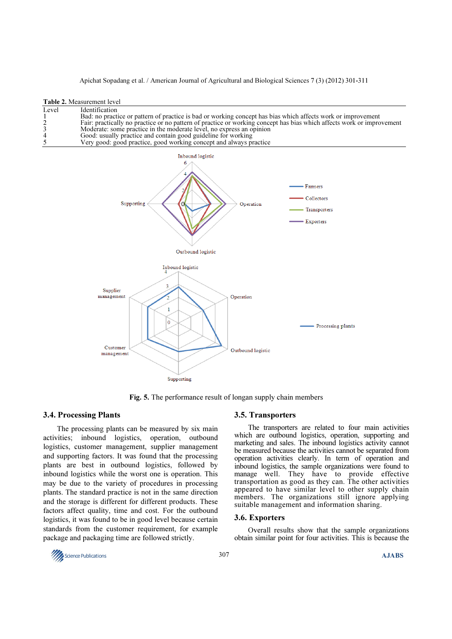| Bad: no practice or pattern of practice is bad or working concept has bias which affects work or improvement<br>Fair: practically no practice or no pattern of practice or working concept has bias which affects work or improvement<br>Moderate: some practice in the moderate level, no express an opinion<br>Good: usually practice and contain good guideline for working |  |
|--------------------------------------------------------------------------------------------------------------------------------------------------------------------------------------------------------------------------------------------------------------------------------------------------------------------------------------------------------------------------------|--|
|                                                                                                                                                                                                                                                                                                                                                                                |  |
|                                                                                                                                                                                                                                                                                                                                                                                |  |
|                                                                                                                                                                                                                                                                                                                                                                                |  |
|                                                                                                                                                                                                                                                                                                                                                                                |  |
| Very good: good practice, good working concept and always practice                                                                                                                                                                                                                                                                                                             |  |



Fig. 5. The performance result of longan supply chain members

# 3.4. Processing Plants

The processing plants can be measured by six main activities; inbound logistics, operation, outbound logistics, customer management, supplier management and supporting factors. It was found that the processing plants are best in outbound logistics, followed by inbound logistics while the worst one is operation. This may be due to the variety of procedures in processing plants. The standard practice is not in the same direction and the storage is different for different products. These factors affect quality, time and cost. For the outbound logistics, it was found to be in good level because certain standards from the customer requirement, for example package and packaging time are followed strictly.

# 3.5. Transporters

The transporters are related to four main activities which are outbound logistics, operation, supporting and marketing and sales. The inbound logistics activity cannot be measured because the activities cannot be separated from operation activities clearly. In term of operation and inbound logistics, the sample organizations were found to manage well. They have to provide effective transportation as good as they can. The other activities appeared to have similar level to other supply chain members. The organizations still ignore applying suitable management and information sharing.

#### 3.6. Exporters

Overall results show that the sample organizations obtain similar point for four activities. This is because the

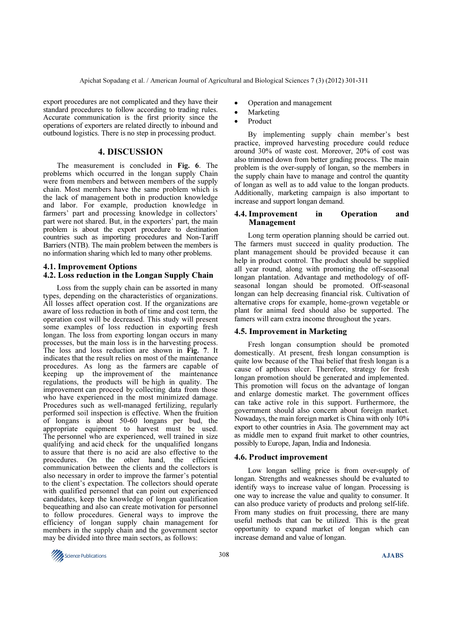export procedures are not complicated and they have their standard procedures to follow according to trading rules. Accurate communication is the first priority since the operations of exporters are related directly to inbound and outbound logistics. There is no step in processing product.

## 4. DISCUSSION

 The measurement is concluded in Fig. 6. The problems which occurred in the longan supply Chain were from members and between members of the supply chain. Most members have the same problem which is the lack of management both in production knowledge and labor. For example, production knowledge in farmers' part and processing knowledge in collectors' part were not shared. But, in the exporters' part, the main problem is about the export procedure to destination countries such as importing procedures and Non-Tariff Barriers (NTB). The main problem between the members is no information sharing which led to many other problems.

## 4.1. Improvement Options

## 4.2. Loss reduction in the Longan Supply Chain

Loss from the supply chain can be assorted in many types, depending on the characteristics of organizations. All losses affect operation cost. If the organizations are aware of loss reduction in both of time and cost term, the operation cost will be decreased. This study will present some examples of loss reduction in exporting fresh longan. The loss from exporting longan occurs in many processes, but the main loss is in the harvesting process. The loss and loss reduction are shown in Fig. 7. It indicates that the result relies on most of the maintenance procedures. As long as the farmers are capable of keeping up the improvement of the maintenance regulations, the products will be high in quality. The improvement can proceed by collecting data from those who have experienced in the most minimized damage. Procedures such as well-managed fertilizing, regularly performed soil inspection is effective. When the fruition of longans is about 50-60 longans per bud, the appropriate equipment to harvest must be used. The personnel who are experienced, well trained in size qualifying and acid check for the unqualified longans to assure that there is no acid are also effective to the procedures. On the other hand, communication between the clients and the collectors is also necessary in order to improve the farmer's potential to the client's expectation. The collectors should operate with qualified personnel that can point out experienced candidates, keep the knowledge of longan qualification bequeathing and also can create motivation for personnel to follow procedures. General ways to improve the efficiency of longan supply chain management for members in the supply chain and the government sector may be divided into three main sectors, as follows:

- Operation and management
- **Marketing**
- **Product**

 By implementing supply chain member's best practice, improved harvesting procedure could reduce around 30% of waste cost. Moreover, 20% of cost was also trimmed down from better grading process. The main problem is the over-supply of longan, so the members in the supply chain have to manage and control the quantity of longan as well as to add value to the longan products. Additionally, marketing campaign is also important to increase and support longan demand.

#### 4.4. Improvement in Operation and Management

Long term operation planning should be carried out. The farmers must succeed in quality production. The plant management should be provided because it can help in product control. The product should be supplied all year round, along with promoting the off-seasonal longan plantation. Advantage and methodology of offseasonal longan should be promoted. Off-seasonal longan can help decreasing financial risk. Cultivation of alternative crops for example, home-grown vegetable or plant for animal feed should also be supported. The famers will earn extra income throughout the years.

#### 4.5. Improvement in Marketing

Fresh longan consumption should be promoted domestically. At present, fresh longan consumption is quite low because of the Thai belief that fresh longan is a cause of apthous ulcer. Therefore, strategy for fresh longan promotion should be generated and implemented. This promotion will focus on the advantage of longan and enlarge domestic market. The government offices can take active role in this support. Furthermore, the government should also concern about foreign market. Nowadays, the main foreign market is China with only 10% export to other countries in Asia. The government may act as middle men to expand fruit market to other countries, possibly to Europe, Japan, India and Indonesia.

## 4.6. Product improvement

Low longan selling price is from over-supply of longan. Strengths and weaknesses should be evaluated to identify ways to increase value of longan. Processing is one way to increase the value and quality to consumer. It can also produce variety of products and prolong self-life. From many studies on fruit processing, there are many useful methods that can be utilized. This is the great opportunity to expand market of longan which can increase demand and value of longan.

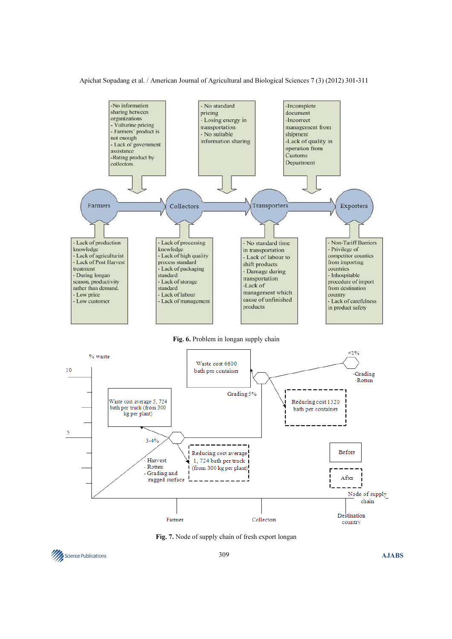

Fig. 6. Problem in longan supply chain



Fig. 7. Node of supply chain of fresh export longan

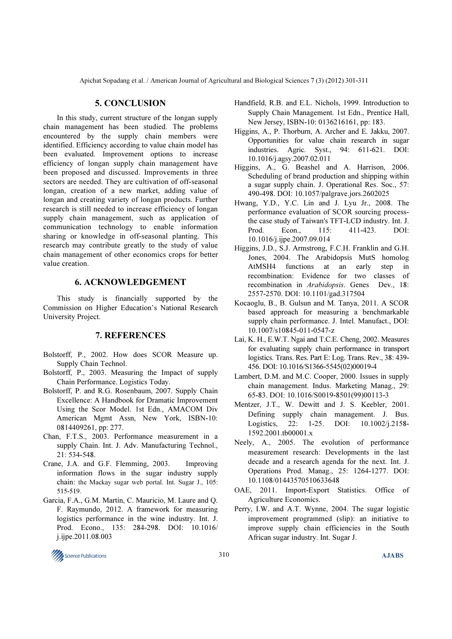# 5. CONCLUSION

 In this study, current structure of the longan supply chain management has been studied. The problems encountered by the supply chain members were identified. Efficiency according to value chain model has been evaluated. Improvement options to increase efficiency of longan supply chain management have been proposed and discussed. Improvements in three sectors are needed. They are cultivation of off-seasonal longan, creation of a new market, adding value of longan and creating variety of longan products. Further research is still needed to increase efficiency of longan supply chain management, such as application of communication technology to enable information sharing or knowledge in off-seasonal planting. This research may contribute greatly to the study of value chain management of other economics crops for better value creation.

# 6. ACKNOWLEDGEMENT

 This study is financially supported by the Commission on Higher Education's National Research University Project.

# 7. REFERENCES

- Bolstorff, P., 2002. How does SCOR Measure up. Supply Chain Technol.
- Bolstorff, P., 2003. Measuring the Impact of supply Chain Performance. Logistics Today.
- Bolstorff, P. and R.G. Rosenbaum, 2007. Supply Chain Excellence: A Handbook for Dramatic Improvement Using the Scor Model. 1st Edn., AMACOM Div American Mgmt Assn, New York, ISBN-10: 0814409261, pp: 277.
- Chan, F.T.S., 2003. Performance measurement in a supply Chain. Int. J. Adv. Manufacturing Technol., 21: 534-548.
- Crane, J.A. and G.F. Flemming, 2003. Improving information flows in the sugar industry supply chain: the Mackay sugar web portal. Int. Sugar J., 105: 515-519.
- Garcia, F.A., G.M. Martin, C. Mauricio, M. Laure and Q. F. Raymundo, 2012. A framework for measuring logistics performance in the wine industry. Int. J. Prod. Econo., 135: 284-298. DOI: 10.1016/ j.ijpe.2011.08.003
- Handfield, R.B. and E.L. Nichols, 1999. Introduction to Supply Chain Management. 1st Edn., Prentice Hall, New Jersey, ISBN-10: 0136216161, pp: 183.
- Higgins, A., P. Thorburn, A. Archer and E. Jakku, 2007. Opportunities for value chain research in sugar industries. Agric. Syst., 94: 611-621. DOI: 10.1016/j.agsy.2007.02.011
- Higgins, A., G. Beashel and A. Harrison, 2006. Scheduling of brand production and shipping within a sugar supply chain. J. Operational Res. Soc., 57: 490-498. DOI: 10.1057/palgrave.jors.2602025
- Hwang, Y.D., Y.C. Lin and J. Lyu Jr., 2008. The performance evaluation of SCOR sourcing processthe case study of Taiwan's TFT-LCD industry. Int. J. Prod. Econ., 115: 411-423. DOI: 10.1016/j.ijpe.2007.09.014
- Higgins, J.D., S.J. Armstrong, F.C.H. Franklin and G.H. Jones, 2004. The Arabidopsis MutS homolog AtMSH4 functions at an early step in recombination: Evidence for two classes of recombination in Arabidopsis. Genes Dev., 18: 2557-2570. DOI: 10.1101/gad.317504
- Kocaoglu, B., B. Gulsun and M. Tanya, 2011. A SCOR based approach for measuring a benchmarkable supply chain performance. J. Intel. Manufact., DOI: 10.1007/s10845-011-0547-z
- Lai, K. H., E.W.T. Ngai and T.C.E. Cheng, 2002. Measures for evaluating supply chain performance in transport logistics. Trans. Res. Part E: Log. Trans. Rev., 38: 439- 456. DOI: 10.1016/S1366-5545(02)00019-4
- Lambert, D.M. and M.C. Cooper, 2000. Issues in supply chain management. Indus. Marketing Manag., 29: 65-83. DOI: 10.1016/S0019-8501(99)00113-3
- Mentzer, J.T., W. Dewitt and J. S. Keebler, 2001. Defining supply chain management. J. Bus. Logistics, 22: 1-25. DOI: 10.1002/j.2158- 1592.2001.tb00001.x
- Neely, A., 2005. The evolution of performance measurement research: Developments in the last decade and a research agenda for the next. Int. J. Operations Prod. Manag., 25: 1264-1277. DOI: 10.1108/01443570510633648
- OAE, 2011. Import-Export Statistics. Office of Agriculture Economics.
- Perry, I.W. and A.T. Wynne, 2004. The sugar logistic improvement programmed (slip): an initiative to improve supply chain efficiencies in the South African sugar industry. Int. Sugar J.